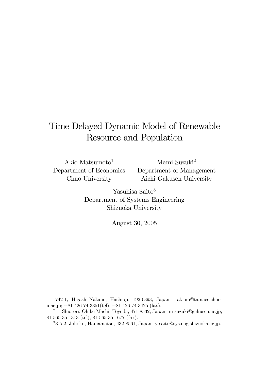# Time Delayed Dynamic Model of Renewable Resource and Population

Akio Matsumoto $<sup>1</sup>$ </sup> Department of Economics Chuo University

Mami Suzuki2 Department of Management Aichi Gakusen University

Yasuhisa Saito<sup>3</sup> Department of Systems Engineering Shizuoka University

August 30, 2005

1742-1, Higashi-Nakano, Hachioji, 192-0393, Japan. akiom@tamacc.chuou.ac.jp;  $+81-426-74-3351(\text{tel})$ ;  $+81-426-74-3425(\text{fax})$ .

<sup>2</sup> 1, Shiotori, Ohike-Machi, Toyoda, 471-8532, Japan. m-suzuki@gakusen.ac.jp; 81-565-35-1313 (tel), 81-565-35-1677 (fax).

33-5-2, Johoku, Hamamatsu, 432-8561, Japan. y-saito@sys.eng.shizuoka.ac.jp.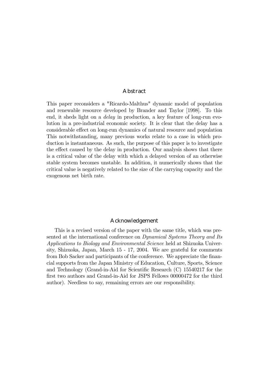#### Abstract

This paper reconsiders a "Ricardo-Malthus" dynamic model of population and renewable resource developed by Brander and Taylor [1998]. To this end, it sheds light on a delay in production, a key feature of long-run evolution in a pre-industrial economic society. It is clear that the delay has a considerable effect on long-run dynamics of natural resource and population This notwithstanding, many previous works relate to a case in which production is instantaneous. As such, the purpose of this paper is to investigate the effect caused by the delay in production. Our analysis shows that there is a critical value of the delay with which a delayed version of an otherwise stable system becomes unstable. In addition, it numerically shows that the critical value is negatively related to the size of the carrying capacity and the exogenous net birth rate.

#### Acknowledgement

This is a revised version of the paper with the same title, which was presented at the international conference on Dynamical Systems Theory and Its Applications to Biology and Environmental Science held at Shizuoka University, Shizuoka, Japan, March 15 - 17, 2004. We are grateful for comments from Bob Sacker and participants of the conference. We appreciate the financial supports from the Japan Ministry of Education, Culture, Sports, Science and Technology (Grand-in-Aid for Scientific Research (C) 15540217 for the first two authors and Grand-in-Aid for JSPS Fellows 00000472 for the third author). Needless to say, remaining errors are our responsibility.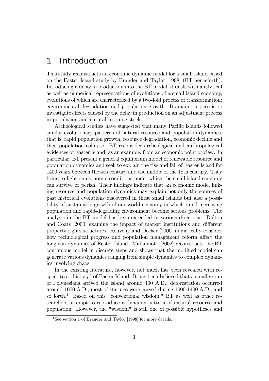## 1 Introduction

This study reconstructs an economic dynamic model for a small island based on the Easter Island study by Brander and Taylor [1998] (BT henceforth). Introducing a delay in production into the BT model, it deals with analytical as well as numerical representations of evolutions of a small island economy, evolutions of which are characterized by a two-fold process of transformation; environmental degradation and population growth. Its main purpose is to investigate effects caused by the delay in production on an adjustment process in population and natural resource stock.

Archeological studies have suggested that many Pacific islands followed similar evolutionary patterns of natural resource and population dynamics, that is, rapid population growth, resource degradation, economic decline and then population collapse. BT reconsider archeological and anthropological evidences of Easter Island, as an example, from an economic point of view. In particular, BT present a general equilibrium model of renewable resource and population dynamics and seek to explain the rise and fall of Easter Island for 1400 years between the 4th century and the middle of the 18th century. They bring to light on economic conditions under which the small island economy can survive or perish. Their findings indicate that an economic model linking resource and population dynamics may explain not only the sources of past historical evolutions discovered in these small islands but also a possibility of sustainable growth of our world economy in which rapid-increasing population and rapid-degrading environment become serious problems. The analysis in the BT model has been extended in various directions. Dalton and Coats [2000] examine the impact of market institutions and different property-rights structures. Reuveny and Decker [2000] numerically consider how technological progress and population management reform affect the long-run dynamics of Easter Island. Matsumoto [2002] reconstructs the BT continuous model in discrete steps and shows that the modified model can generate various dynamics ranging from simple dynamics to complex dynamics involving chaos.

In the existing literature, however, not much has been revealed with respect to a "history" of Easter Island. It has been believed that a small group of Polynesians arrived the island around 400 A.D., deforestation occurred around 1000 A.D., most of statures were carved during 1000-1400 A.D., and so forth.<sup>1</sup> Based on this "conventional wisdom," BT as well as other researchers attempt to reproduce a dynamic pattern of natural resource and population. However, the "wisdom" is still one of possible hypotheses and

<sup>&</sup>lt;sup>1</sup>See section 1 of Brander and Taylor [1998] for more details.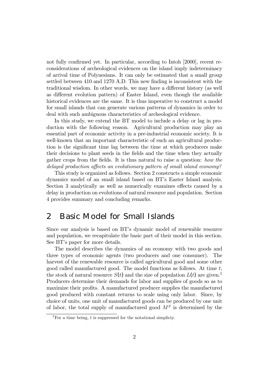not fully confirmed yet. In particular, according to Intoh [2000], recent reconsiderations of archeological evidences on the island imply indeterminacy of arrival time of Polynesians. It can only be estimated that a small group settled between 410 and 1270 A.D. This new finding is inconsistent with the traditional wisdom. In other words, we may have a different history (as well as different evolution pattern) of Easter Island, even though the available historical evidences are the same. It is thus imperative to construct a model for small islands that can generate various patterns of dynamics in order to deal with such ambiguous characteristics of archeological evidence.

In this study, we extend the BT model to include a delay or lag in production with the following reason. Agricultural production may play an essential part of economic activity in a pre-industrial economic society. It is well-known that an important characteristic of such an agricultural production is the significant time lag between the time at which producers make their decisions to plant seeds in the fields and the time when they actually gather crops from the fields. It is thus natural to raise a question: how the delayed production affects an evolutionary pattern of small island economy?

This study is organized as follows. Section 2 constructs a simple economic dynamics model of an small island based on BT's Easter Island analysis. Section 3 analytically as well as numerically examines effects caused by a delay in production on evolutions of natural resource and population. Section 4 provides summary and concluding remarks.

### 2 Basic Model for Small Islands

Since our analysis is based on BT's dynamic model of renewable resource and population, we recapitulate the basic part of their model in this section. See BT's paper for more details.

The model describes the dynamics of an economy with two goods and three types of economic agents (two producers and one consumer). The harvest of the renewable resource is called agricultural good and some other good called manufactured good. The model functions as follows. At time t, the stock of natural resource  $S(t)$  and the size of population  $L(t)$  are given.<sup>2</sup> Producers determine their demands for labor and supplies of goods so as to maximize their profits. A manufactured producer supplies the manufactured good produced with constant returns to scale using only labor. Since, by choice of units, one unit of manufactured goods can be produced by one unit of labor, the total supply of manufactured good  $M<sup>S</sup>$  is determined by the

<sup>&</sup>lt;sup>2</sup>For a time being, t is suppressed for the notational simpliciv.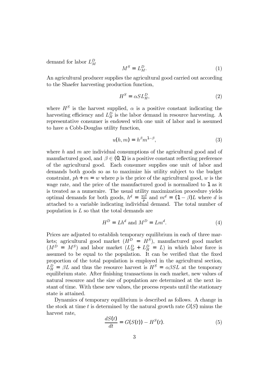demand for labor  $L_M^D$ 

$$
M^S = L_M^D. \tag{1}
$$

An agricultural producer supplies the agricultural good carried out according to the Shaefer harvesting production function,

$$
H^S = \alpha SL_H^D,\tag{2}
$$

where  $H<sup>S</sup>$  is the harvest supplied,  $\alpha$  is a positive constant indicating the harvesting efficiency and  $L_H^D$  is the labor demand in resource harvesting. A representative consumer is endowed with one unit of labor and is assumed to have a Cobb-Douglas utility function,

$$
u(h,m) = h^{\beta} m^{1-\beta},\tag{3}
$$

where h and m are individual consumptions of the agricultural good and of manufactured good, and  $\beta \in (0, 1)$  is a positive constant reflecting preference of the agricultural good. Each consumer supplies one unit of labor and demands both goods so as to maximize his utility subject to the budget constraint,  $ph + m = w$  where p is the price of the agricultural good, w is the wage rate, and the price of the manufactured good is normalized to 1 as it is treated as a numeraire. The usual utility maximization procedure yields optimal demands for both goods,  $h^d = \frac{w\beta}{p}$  and  $m^d = (1 - \beta)L$  where d is attached to a variable indicating individual demand. The total number of population is L so that the total demands are

$$
H^D = Lh^d \text{ and } M^D = Lm^d. \tag{4}
$$

Prices are adjusted to establish temporary equilibrium in each of three markets; agricultural good market  $(H^D = H^S)$ , manufactured good market  $(M^D = M^S)$  and labor market  $(L_M^D + L_H^D = L)$  in which labor force is assumed to be equal to the population. It can be verified that the fixed proportion of the total population is employed in the agricultural section,  $L_H^D = \beta L$  and thus the resource harvest is  $H^S = \alpha \beta SL$  at the temporary equilibrium state. After finishing transactions in each market, new values of natural resource and the size of population are determined at the next instant of time. With these new values, the process repeats until the stationary state is attained.

Dynamics of temporary equilibrium is described as follows. A change in the stock at time t is determined by the natural growth rate  $G(S)$  minus the harvest rate,

$$
\frac{dS(t)}{dt} = G(S(t)) - H^S(t). \tag{5}
$$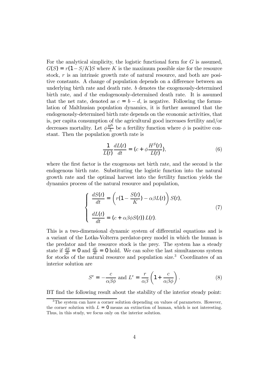For the analytical simplicity, the logistic functional form for  $G$  is assumed,  $G(S) = r(1-S/K)S$  where K is the maximum possible size for the resource stock, r is an intrinsic growth rate of natural resource, and both are positive constants. A change of population depends on a difference between an underlying birth rate and death rate. b denotes the exogenously-determined birth rate, and d the endogenously-determined death rate. It is assumed that the net rate, denoted as  $c = b - d$ , is negative. Following the formulation of Malthusian population dynamics, it is further assumed that the endogenously-determined birth rate depends on the economic activities, that is, per capita consumption of the agricultural good increases fertility and/or decreases mortality. Let  $\phi \frac{H^S}{L}$  be a fertility function where  $\phi$  is positive constant. Then the population growth rate is

$$
\frac{1}{L(t)}\frac{dL(t)}{dt} = (c + \phi \frac{H^S(t)}{L(t)}),\tag{6}
$$

where the first factor is the exogenous net birth rate, and the second is the endogenous birth rate. Substituting the logistic function into the natural growth rate and the optimal harvest into the fertility function yields the dynamics process of the natural resource and population,

$$
\begin{cases}\n\frac{dS(t)}{dt} = \left(r(1 - \frac{S(t)}{K}) - \alpha \beta L(t)\right) S(t),\n\frac{dL(t)}{dt} = (c + \alpha \beta \phi S(t)) L(t).\n\end{cases}
$$
\n(7)

This is a two-dimensional dynamic system of differential equations and is a variant of the Lotka-Volterra perdator-prey model in which the human is the predator and the resource stock is the prey. The system has a steady state if  $\frac{dS}{dt} = 0$  and  $\frac{dL}{dt} = 0$  hold. We can solve the last simultaneous system for stocks of the natural resource and population size.<sup>3</sup> Coordinates of an interior solution are

$$
S^{e} = -\frac{c}{\alpha \beta \phi} \text{ and } L^{e} = \frac{r}{\alpha \beta} \left( 1 + \frac{c}{\alpha \beta \phi} \right). \tag{8}
$$

BT find the following result about the stability of the interior steady point:

<sup>&</sup>lt;sup>3</sup>The system can have a corner solution depending on values of parameters. However, the corner solution with  $L = 0$  means an extinction of human, which is not interesting. Thus, in this study, we focus only on the interior solution.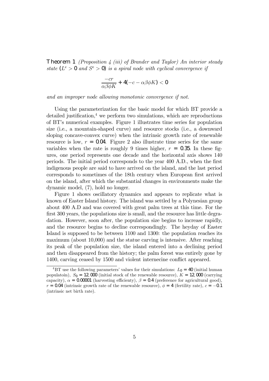**Theorem 1** (Proposition 4 (iii) of Brander and Taylor) An interior steady state  $(L^e > 0$  and  $S^e > 0$ ) is a spiral node with cyclical convergence if

$$
\frac{-cr}{\alpha\beta\phi K} + 4(-c - \alpha\beta\phi K) < 0
$$

and an improper node allowing monotonic convergence if not.

Using the parameterization for the basic model for which BT provide a detailed justification, $4 \leq$  we perform two simulations, which are reproductions of BT's numerical examples. Figure 1 illustrates time series for population size (i.e., a mountain-shaped curve) and resource stocks (i.e., a downward sloping concave-convex curve) when the intrinsic growth rate of renewable resource is low,  $r = 0.04$ . Figure 2 also illustrate time series for the same variables when the rate is roughly 9 times higher,  $r = 0.35$ . In these figures, one period represents one decade and the horizontal axis shows 140 periods. The initial period corresponds to the year 400 A.D., when the first indigenous people are said to have arrived on the island, and the last period corresponds to sometimes of the 18th century when European first arrived on the island, after which the substantial changes in environments make the dynamic model, (7), hold no longer.

Figure 1 shows oscillatory dynamics and appears to replicate what is known of Easter Island history. The island was settled by a Polynesian group about 400 A.D and was covered with great palm trees at this time. For the first 300 years, the populations size is small, and the resource has little degradation. However, soon after, the population size begins to increase rapidly, and the resource begins to decline correspondingly. The heyday of Easter Island is supposed to be between 1100 and 1300: the population reaches its maximum (about 10,000) and the statue carving is intensive. After reaching its peak of the population size, the island entered into a declining period and then disappeared from the history; the palm forest was entirely gone by 1400, carving ceased by 1500 and violent internecine conflict appeared.

<sup>&</sup>lt;sup>4</sup>BT use the following parameters' values for their simulations:  $L_0 = 40$  (initial human populatoin),  $S_0 = 12,000$  (initial stock of the renewable resource),  $K = 12,000$  (carrying capacity),  $\alpha = 0.00001$  (harvesting efficienty),  $\beta = 0.4$  (preference for agricultural good),  $r = 0.04$  (intrinsic growth rate of the renewable resource),  $\phi = 4$  (fertility rate),  $c = -0.1$ (intrinsic net birth rate).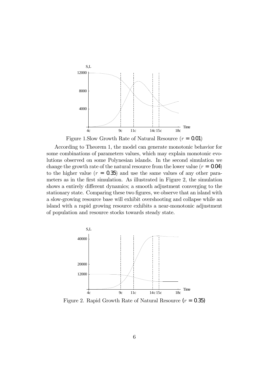

Figure 1.Slow Growth Rate of Natural Resource  $(r = 0.01)$ 

According to Theorem 1, the model can generate monotonic behavior for some combinations of parameters values, which may explain monotonic evolutions observed on some Polynesian islands. In the second simulation we change the growth rate of the natural resource from the lower value  $(r = 0.04)$ to the higher value  $(r = 0.35)$  and use the same values of any other parameters as in the first simulation. As illustrated in Figure 2, the simulation shows a entirely different dynamics; a smooth adjustment converging to the stationary state. Comparing these two figures, we observe that an island with a slow-growing resource base will exhibit overshooting and collapse while an island with a rapid growing resource exhibits a near-monotonic adjustment of population and resource stocks towards steady state.



Figure 2. Rapid Growth Rate of Natural Resource  $(r = 0.35)$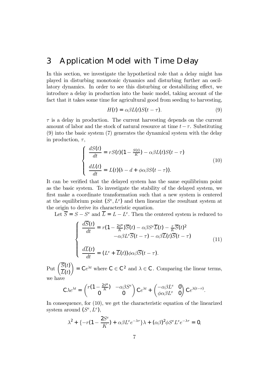### 3 Application Model with Time Delay

In this section, we investigate the hypothetical role that a delay might has played in disturbing monotonic dynamics and disturbing further an oscillatory dynamics. In order to see this disturbing or destabilizing effect, we introduce a delay in production into the basic model, taking account of the fact that it takes some time for agricultural good from seeding to harvesting,

$$
H(t) = \alpha \beta L(t) S(t - \tau). \tag{9}
$$

 $\tau$  is a delay in production. The current harvesting depends on the current amount of labor and the stock of natural resource at time  $t-\tau$ . Substituting (9) into the basic system (7) generates the dynamical system with the delay in production,  $\tau$ ,

$$
\begin{cases}\n\frac{dS(t)}{dt} = rS(t)(1 - \frac{S(t)}{K}) - \alpha \beta L(t)S(t - \tau) \\
\frac{dL(t)}{dt} = L(t)(b - d + \phi \alpha \beta S(t - \tau)).\n\end{cases} (10)
$$

It can be verified that the delayed system has the same equilibrium point as the basic system. To investigate the stability of the delayed system, we first make a coordinate transformation such that a new system is centered at the equilibrium point  $(S^e, L^e)$  and then linearize the resultant system at the origin to derive its characteristic equation.

Let  $\overline{S} = S - S^e$  and  $\overline{L} = L - L^e$ . Then the centered system is reduced to

$$
\begin{cases}\n\frac{d\overline{S}(t)}{dt} = r(1 - \frac{2S^e}{K})\overline{S}(t) - \alpha\beta S^e \overline{L}(t) - \frac{r}{K}\overline{S}(t)^2 \\
-\alpha\beta L^e \overline{S}(t - \tau) - \alpha\beta \overline{L}(t)\overline{S}(t - \tau) \\
\frac{d\overline{L}(t)}{dt} = (L^e + \overline{L}(t))\phi\alpha\beta \overline{S}(t - \tau).\n\end{cases} (11)
$$

Put  $\left(\frac{\overline{S}(t)}{\overline{I}(t)}\right)$  $L(t)$  $\setminus$ =  $Ce^{\lambda t}$  where  $C \in C^2$  and  $\lambda \in C$ . Comparing the linear terms, we have

$$
C\lambda e^{\lambda t} = \begin{pmatrix} r(1-\frac{2S^{\rm e}}{K}) & -\alpha\beta S^{\rm e} \\ 0 & 0 \end{pmatrix} C e^{\lambda t} + \begin{pmatrix} -\alpha\beta L^{\rm e} & 0 \\ \phi\alpha\beta L^{\rm e} & 0 \end{pmatrix} C e^{\lambda(t-\tau)}.
$$

In consequence, for (10), we get the characteristic equation of the linearized system around  $(S^e, L^e)$ ,

$$
\lambda^2 + \{-r(1-\frac{2S^e}{K}) + \alpha\beta L^e e^{-\lambda\tau}\}\lambda + (\alpha\beta)^2 \phi S^e L^e e^{-\lambda\tau} = 0,
$$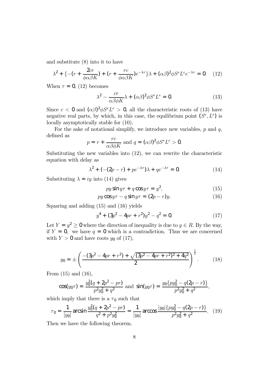and substitute (8) into it to have

$$
\lambda^2 + \{ -(r + \frac{2cr}{\phi\alpha\beta K}) + (r + \frac{rc}{\phi\alpha\beta K})e^{-\lambda\tau} \}\lambda + (\alpha\beta)^2 \phi S^e L^e e^{-\lambda\tau} = 0. \quad (12)
$$

When  $\tau = 0$ , (12) becomes

$$
\lambda^2 - \frac{cr}{\alpha\beta\phi K}\lambda + (\alpha\beta)^2 \phi S^e L^e = 0.
$$
 (13)

Since  $c < 0$  and  $({\alpha}{\beta})^2 {\phi}S^e L^e > 0$ , all the characteristic roots of (13) have negative real parts, by which, in this case, the equilibrium point  $(S^e, L^e)$  is locally asymptotically stable for (10).

For the sake of notational simplify, we introduce new variables,  $p$  and  $q$ , defined as

$$
p = r + \frac{rc}{\alpha\beta\phi K}
$$
 and  $q = (\alpha\beta)^2 \phi S^e L^e > 0$ .

Substituting the new variables into (12), we can rewrite the characteristic equation with delay as

$$
\lambda^2 + \left( -(2p - r) + pe^{-\lambda \tau} \right) \lambda + q e^{-\lambda \tau} = 0. \tag{14}
$$

Substituting  $\lambda = iy$  into (14) gives

$$
py \sin y\tau + q \cos y\tau = y^2,\tag{15}
$$

$$
py \cos y\tau - q \sin y\tau = (2p - r)y. \tag{16}
$$

Squaring and adding (15) and (16) yields

$$
y^4 + (3p^2 - 4pr + r^2)y^2 - q^2 = 0.
$$
 (17)

Let  $Y = y^2 \ge 0$  where the direction of inequality is due to  $y \in R$ . By the way, if  $Y = 0$ , we have  $q = 0$  which is a contradiction. Thus we are concerned with  $Y > 0$  and have roots  $y_0$  of (17),

$$
y_0 = \pm \left( \frac{-(3p^2 - 4pr + r^2) + \sqrt{(3p^2 - 4pr + r^2)^2 + 4q^2}}{2} \right)^{\frac{1}{2}}.
$$
 (18)

From (15) and (16),

$$
\cos(y_0\tau) = \frac{y_0^2(q + 2p^2 - pr)}{p^2y_0^2 + q^2}
$$
 and  $\sin(y_0\tau) = \frac{y_0\{py_0^2 - q(2p - r)\}}{p^2y_0^2 + q^2}$ ,

which imply that there is a  $\tau_0$  such that

$$
\tau_0 = \frac{1}{|y_0|} \arcsin \frac{y_0^2 (q + 2p^2 - pr)}{q^2 + p^2 y_0^2} = \frac{1}{|y_0|} \arccos \frac{|y_0| \{p y_0^2 - q(2p - r)\}}{p^2 y_0^2 + q^2}.
$$
 (19)

Then we have the following theorem.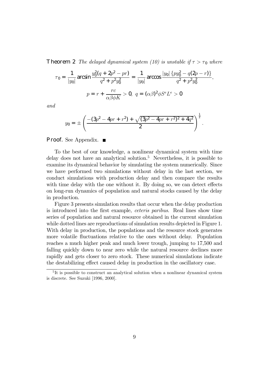**Theorem 2** The delayed dynamical system (10) is unstable if  $\tau > \tau_0$  where

$$
\tau_0 = \frac{1}{|y_0|} \arcsin \frac{y_0^2 (q + 2p^2 - pr)}{q^2 + p^2 y_0^2} = \frac{1}{|y_0|} \arccos \frac{|y_0| \{py_0^2 - q(2p - r)\}}{q^2 + p^2 y_0^2},
$$

$$
p = r + \frac{rc}{\alpha \beta \phi K} > 0, \ q = (\alpha \beta)^2 \phi S^e L^e > 0
$$

and

$$
y_0 = \pm \left( \frac{-(3p^2 - 4pr + r^2) + \sqrt{(3p^2 - 4pr + r^2)^2 + 4q^2}}{2} \right)^{\frac{1}{2}}
$$

.

**Proof.** See Appendix. ■

To the best of our knowledge, a nonlinear dynamical system with time delay does not have an analytical solution.<sup>5</sup> Nevertheless, it is possible to examine its dynamical behavior by simulating the system numerically. Since we have performed two simulations without delay in the last section, we conduct simulations with production delay and then compare the results with time delay with the one without it. By doing so, we can detect effects on long-run dynamics of population and natural stocks caused by the delay in production.

Figure 3 presents simulation results that occur when the delay production is introduced into the first example, ceteris paribus. Real lines show time series of population and natural resource obtained in the current simulation while dotted lines are reproductions of simulation results depicted in Figure 1. With delay in production, the populations and the resource stock generates more volatile fluctuations relative to the ones without delay. Population reaches a much higher peak and much lower trough, jumping to 17,500 and falling quickly down to near zero while the natural resource declines more rapidly and gets closer to zero stock. These numerical simulations indicate the destabilizing effect caused delay in production in the oscillatory case.

<sup>&</sup>lt;sup>5</sup>It is possible to construct an analytical solution when a nonlinear dynamical system is discrete. See Suzuki [1996, 2000].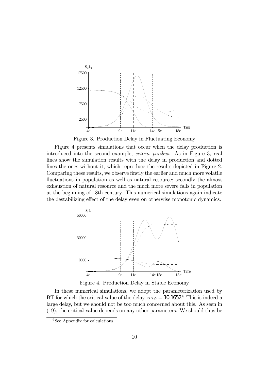

Figure 3. Production Delay in Fluctuating Economy

Figure 4 presents simulations that occur when the delay production is introduced into the second example, ceteris paribus. As in Figure 3, real lines show the simulation results with the delay in production and dotted lines the ones without it, which reproduce the results depicted in Figure 2. Comparing these results, we observe firstly the earlier and much more volatile fluctuations in population as well as natural resource; secondly the almost exhaustion of natural resource and the much more severe falls in population at the beginning of 18th century. This numerical simulations again indicate the destabilizing effect of the delay even on otherwise monotonic dynamics.



Figure 4. Production Delay in Stable Economy

In these numerical simulations, we adopt the parameterization used by BT for which the critical value of the delay is  $\tau_0 = 10.1652$ .<sup>6</sup> This is indeed a large delay, but we should not be too much concerned about this. As seen in (19), the critical value depends on any other parameters. We should thus be

<sup>&</sup>lt;sup>6</sup>See Appendix for calculations.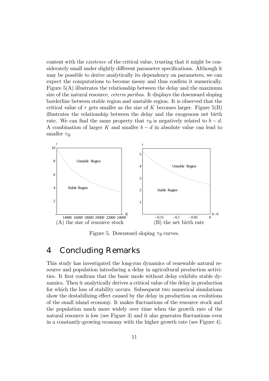content with the existence of the critical value, trusting that it might be considerately small under slightly different parameter specifications. Although it may be possible to derive analytically its dependency on parameters, we can expect the computations to become messy and thus confirm it numerically. Figure  $5(A)$  illustrates the relationship between the delay and the maximum size of the natural resource, ceteris paribus. It displays the downward sloping borderline between stable region and unstable region. It is observed that the critical value of  $\tau$  gets smaller as the size of K becomes larger. Figure 5(B) illustrates the relationship between the delay and the exogenous net birth rate. We can find the same property that  $\tau_0$  is negatively related to  $b - d$ . A combination of larger K and smaller  $b - d$  in absolute value can lead to smaller  $\tau_0$ .



Figure 5. Downward sloping  $\tau_0$  curves.

#### 4 Concluding Remarks

This study has investigated the long-run dynamics of renewable natural resource and population introducing a delay in agricultural production activities. It first confirms that the basic mode without delay exhibits stable dynamics. Then it analytically derives a critical value of the delay in production for which the loss of stability occurs. Subsequent two numerical simulations show the destabilizing effect caused by the delay in production on evolutions of the small island economy. It makes fluctuations of the resource stock and the population much more widely over time when the growth rate of the natural resource is low (see Figure 3) and it also generates fluctuations even in a constantly-growing economy with the higher growth rate (see Figure 4).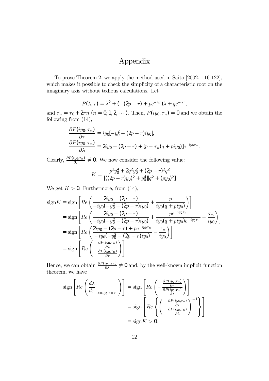# Appendix

To prove Theorem 2, we apply the method used in Saito [2002. 116-122], which makes it possible to check the simplicity of a characteristic root on the imaginary axis without tedious calculations. Let

$$
P(\lambda, \tau) = \lambda^2 + \left( -(2p - r) + pe^{-\lambda \tau} \right) \lambda + qe^{-\lambda \tau},
$$

and  $\tau_n = \tau_0 + 2\pi n$   $(n = 0, 1, 2, \cdots)$ . Then,  $P(iy_0, \tau_n) = 0$  and we obtain the following from (14),

$$
\frac{\partial P(iy_0, \tau_n)}{\partial \tau} = iy_0[-y_0^2 - (2p - r)iy_0],
$$
  

$$
\frac{\partial P(iy_0, \tau_n)}{\partial \lambda} = 2iy_0 - (2p - r) + [p - \tau_n(q + piy_0)]e^{-iy_0\tau_n}.
$$

Clearly,  $\frac{\partial P(iy_0,\tau_{\rm n})}{\partial \tau} \neq 0$ . We now consider the following value:

$$
K = \frac{p^2 y_0^4 + 2q^2 y_0^2 + (2p - r)^2 q^2}{[((2p - r)y_0)^2 + y_0^4][q^2 + (py_0)^2]}.
$$

We get  $K > 0$ . Furthermore, from (14),

$$
\begin{split}\n\text{sign}K &= \text{sign}\left[Re\left(\frac{2iy_0 - (2p - r)}{-iy_0(-y_0^2 - (2p - r)iy_0)} + \frac{p}{iy_0(q + piy_0)}\right)\right] \\
&= \text{sign}\left[Re\left(\frac{2iy_0 - (2p - r)}{-iy_0(-y_0^2 - (2p - r)iy_0)} + \frac{pe^{-iy_0\tau_0}}{iy_0(q + piy_0)e^{-iy_0\tau_0}} - \frac{\tau_n}{iy_0}\right)\right] \\
&= \text{sign}\left[Re\left(\frac{2iy_0 - (2p - r) + pe^{-iy_0\tau_0}}{-iy_0(-y_0^2 - (2p - r)iy_0)} - \frac{\tau_n}{iy_0}\right)\right] \\
&= \text{sign}\left[Re\left(-\frac{\frac{\partial P(iy_0, \tau_0)}{\partial \tau}}{\frac{\partial P(iy_0, \tau_0)}{\partial \tau}}\right)\right].\n\end{split}
$$

Hence, we can obtain  $\frac{\partial P(iy_0, \tau_n)}{\partial \lambda} \neq 0$  and, by the well-known implicit function theorem, we have

$$
\text{sign}\left[Re\left(\frac{d\lambda}{d\tau}\bigg|_{\lambda = i y_0, \tau = \tau_{\text{n}}}\right)\right] = \text{sign}\left[Re\left(-\frac{\frac{\partial P(i y_0, \tau_{\text{n}})}{\partial \tau}}{\frac{\partial P(i y_0, \tau_{\text{n}})}{\partial \lambda}}\right)\right]
$$

$$
= \text{sign}\left[Re\left\{\left(-\frac{\frac{\partial P(i y_0, \tau_{\text{n}})}{\partial \tau}}{\frac{\partial P(i y_0, \tau_{\text{n}})}{\partial \lambda}}\right)^{-1}\right\}\right]
$$

$$
= \text{sign}K > 0.
$$